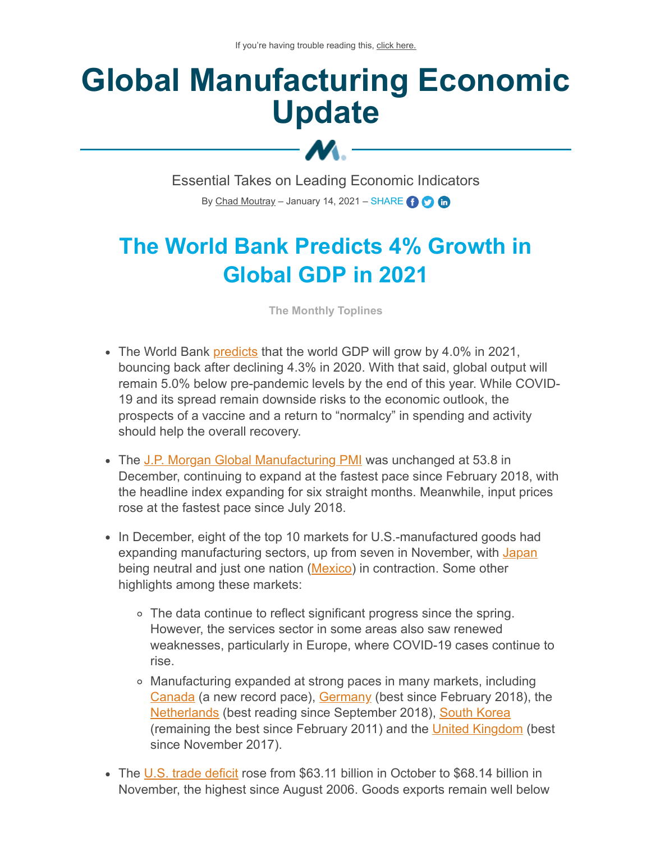# **Global Manufacturing Economic Update**

Essential Takes on Leading Economic Indicators By [Chad Moutray](mailto:cmoutray@nam.org) – January 14, 2021 – SHARE  $\bigodot$   $\bigodot$ 

M.-

# **The World Bank Predicts 4% Growth in Global GDP in 2021**

**The Monthly Toplines**

- The World Bank [predicts](https://www.worldbank.org/en/publication/global-economic-prospects) that the world GDP will grow by 4.0% in 2021, bouncing back after declining 4.3% in 2020. With that said, global output will remain 5.0% below pre-pandemic levels by the end of this year. While COVID-19 and its spread remain downside risks to the economic outlook, the prospects of a vaccine and a return to "normalcy" in spending and activity should help the overall recovery.
- The [J.P. Morgan Global Manufacturing PMI](https://www.markiteconomics.com/Public/Home/PressRelease/3c8de3f96eb244839499b5bc508f6953) was unchanged at 53.8 in December, continuing to expand at the fastest pace since February 2018, with the headline index expanding for six straight months. Meanwhile, input prices rose at the fastest pace since July 2018.
- In December, eight of the top 10 markets for U.S.-manufactured goods had expanding manufacturing sectors, up from seven in November, with [Japan](https://www.markiteconomics.com/Public/Home/PressRelease/b208900089e247b98c0ac10217ca4c75) being neutral and just one nation ([Mexico\)](https://www.markiteconomics.com/Public/Home/PressRelease/52e60d92075e487e87d2cec47b7e985d) in contraction. Some other highlights among these markets:
	- The data continue to reflect significant progress since the spring. However, the services sector in some areas also saw renewed weaknesses, particularly in Europe, where COVID-19 cases continue to rise.
	- Manufacturing expanded at strong paces in many markets, including [Canada](https://www.markiteconomics.com/Public/Home/PressRelease/17c2e36c80ef4234967abf1f038007d8) (a new record pace), [Germany](https://www.markiteconomics.com/Public/Home/PressRelease/94eee3d2d1364edd8b40afe6ebfb7226) (best since February 2018), the [Netherlands](https://www.markiteconomics.com/Public/Home/PressRelease/81c059688170473bbae6152a34c8265f) (best reading since September 2018), [South Korea](https://www.markiteconomics.com/Public/Home/PressRelease/8f298c13a0724a83b50c597dd7b47237) (remaining the best since February 2011) and the [United Kingdom](https://www.markiteconomics.com/Public/Home/PressRelease/a505c02d05e14e608d7cc91cff686c35) (best since November 2017).
- The [U.S. trade deficit](https://www.census.gov/foreign-trade/Press-Release/current_press_release/ft900.pdf) rose from \$63.11 billion in October to \$68.14 billion in November, the highest since August 2006. Goods exports remain well below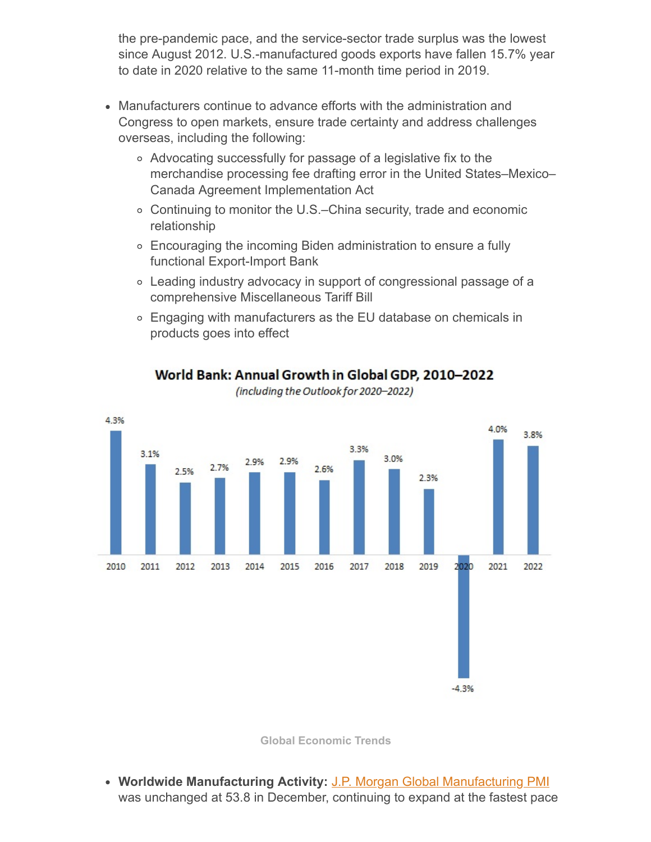the pre-pandemic pace, and the service-sector trade surplus was the lowest since August 2012. U.S.-manufactured goods exports have fallen 15.7% year to date in 2020 relative to the same 11-month time period in 2019.

- Manufacturers continue to advance efforts with the administration and Congress to open markets, ensure trade certainty and address challenges overseas, including the following:
	- Advocating successfully for passage of a legislative fix to the merchandise processing fee drafting error in the United States–Mexico– Canada Agreement Implementation Act
	- Continuing to monitor the U.S.–China security, trade and economic relationship
	- Encouraging the incoming Biden administration to ensure a fully functional Export-Import Bank
	- Leading industry advocacy in support of congressional passage of a comprehensive Miscellaneous Tariff Bill
	- Engaging with manufacturers as the EU database on chemicals in products goes into effect



World Bank: Annual Growth in Global GDP, 2010-2022

(including the Outlook for 2020-2022)

**Global Economic Trends**

**Worldwide Manufacturing Activity:** [J.P. Morgan Global Manufacturing PMI](https://www.markiteconomics.com/Public/Home/PressRelease/3c8de3f96eb244839499b5bc508f6953) was unchanged at 53.8 in December, continuing to expand at the fastest pace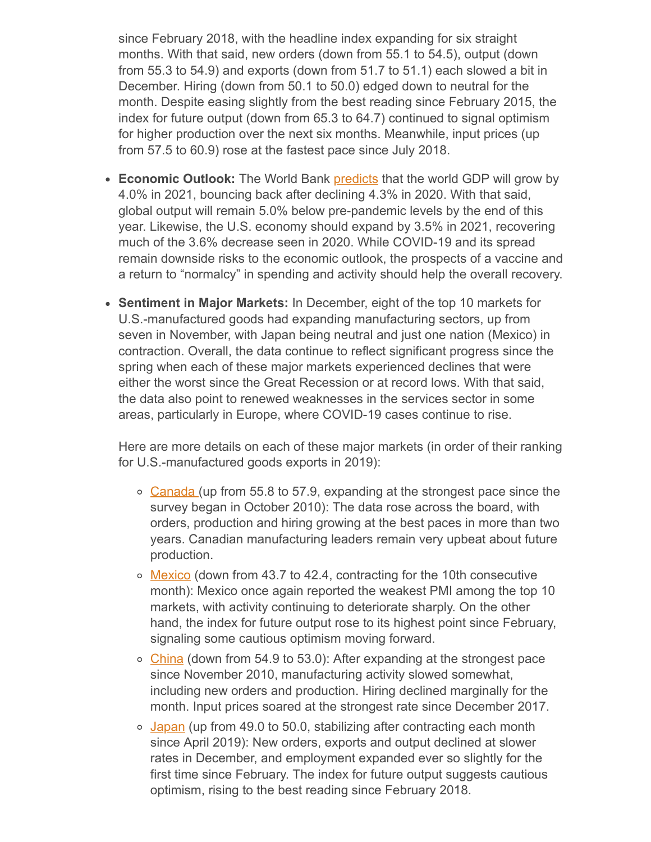since February 2018, with the headline index expanding for six straight months. With that said, new orders (down from 55.1 to 54.5), output (down from 55.3 to 54.9) and exports (down from 51.7 to 51.1) each slowed a bit in December. Hiring (down from 50.1 to 50.0) edged down to neutral for the month. Despite easing slightly from the best reading since February 2015, the index for future output (down from 65.3 to 64.7) continued to signal optimism for higher production over the next six months. Meanwhile, input prices (up from 57.5 to 60.9) rose at the fastest pace since July 2018.

- **Economic Outlook:** The World Bank [predicts](https://www.worldbank.org/en/publication/global-economic-prospects) that the world GDP will grow by 4.0% in 2021, bouncing back after declining 4.3% in 2020. With that said, global output will remain 5.0% below pre-pandemic levels by the end of this year. Likewise, the U.S. economy should expand by 3.5% in 2021, recovering much of the 3.6% decrease seen in 2020. While COVID-19 and its spread remain downside risks to the economic outlook, the prospects of a vaccine and a return to "normalcy" in spending and activity should help the overall recovery.
- **Sentiment in Major Markets:** In December, eight of the top 10 markets for U.S.-manufactured goods had expanding manufacturing sectors, up from seven in November, with Japan being neutral and just one nation (Mexico) in contraction. Overall, the data continue to reflect significant progress since the spring when each of these major markets experienced declines that were either the worst since the Great Recession or at record lows. With that said, the data also point to renewed weaknesses in the services sector in some areas, particularly in Europe, where COVID-19 cases continue to rise.

Here are more details on each of these major markets (in order of their ranking for U.S.-manufactured goods exports in 2019):

- o [Canada](https://www.markiteconomics.com/Public/Home/PressRelease/17c2e36c80ef4234967abf1f038007d8) (up from 55.8 to 57.9, expanding at the strongest pace since the survey began in October 2010): The data rose across the board, with orders, production and hiring growing at the best paces in more than two years. Canadian manufacturing leaders remain very upbeat about future production.
- o [Mexico](https://www.markiteconomics.com/Public/Home/PressRelease/52e60d92075e487e87d2cec47b7e985d) (down from 43.7 to 42.4, contracting for the 10th consecutive month): Mexico once again reported the weakest PMI among the top 10 markets, with activity continuing to deteriorate sharply. On the other hand, the index for future output rose to its highest point since February, signaling some cautious optimism moving forward.
- o [China](https://www.markiteconomics.com/Public/Home/PressRelease/65dad40759b84304a55832f47f644be2) (down from 54.9 to 53.0): After expanding at the strongest pace since November 2010, manufacturing activity slowed somewhat, including new orders and production. Hiring declined marginally for the month. Input prices soared at the strongest rate since December 2017.
- $\circ$  [Japan](https://www.markiteconomics.com/Public/Home/PressRelease/b208900089e247b98c0ac10217ca4c75) (up from 49.0 to 50.0, stabilizing after contracting each month since April 2019): New orders, exports and output declined at slower rates in December, and employment expanded ever so slightly for the first time since February. The index for future output suggests cautious optimism, rising to the best reading since February 2018.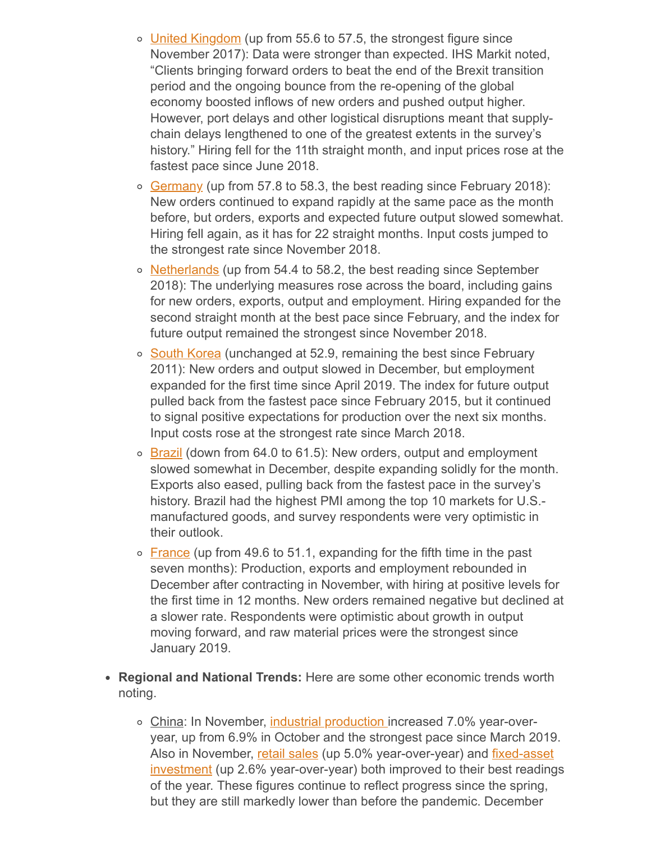- o [United Kingdom](https://www.markiteconomics.com/Public/Home/PressRelease/a505c02d05e14e608d7cc91cff686c35) (up from 55.6 to 57.5, the strongest figure since November 2017): Data were stronger than expected. IHS Markit noted, "Clients bringing forward orders to beat the end of the Brexit transition period and the ongoing bounce from the re-opening of the global economy boosted inflows of new orders and pushed output higher. However, port delays and other logistical disruptions meant that supplychain delays lengthened to one of the greatest extents in the survey's history." Hiring fell for the 11th straight month, and input prices rose at the fastest pace since June 2018.
- o [Germany](https://www.markiteconomics.com/Public/Home/PressRelease/94eee3d2d1364edd8b40afe6ebfb7226) (up from 57.8 to 58.3, the best reading since February 2018): New orders continued to expand rapidly at the same pace as the month before, but orders, exports and expected future output slowed somewhat. Hiring fell again, as it has for 22 straight months. Input costs jumped to the strongest rate since November 2018.
- o [Netherlands](https://www.markiteconomics.com/Public/Home/PressRelease/81c059688170473bbae6152a34c8265f) (up from 54.4 to 58.2, the best reading since September 2018): The underlying measures rose across the board, including gains for new orders, exports, output and employment. Hiring expanded for the second straight month at the best pace since February, and the index for future output remained the strongest since November 2018.
- o [South Korea](https://www.markiteconomics.com/Public/Home/PressRelease/8f298c13a0724a83b50c597dd7b47237) (unchanged at 52.9, remaining the best since February 2011): New orders and output slowed in December, but employment expanded for the first time since April 2019. The index for future output pulled back from the fastest pace since February 2015, but it continued to signal positive expectations for production over the next six months. Input costs rose at the strongest rate since March 2018.
- $\circ$  [Brazil](https://www.markiteconomics.com/Public/Home/PressRelease/b294b1cb2d194c348b3e4ea0ed476ffe) (down from 64.0 to 61.5): New orders, output and employment slowed somewhat in December, despite expanding solidly for the month. Exports also eased, pulling back from the fastest pace in the survey's history. Brazil had the highest PMI among the top 10 markets for U.S. manufactured goods, and survey respondents were very optimistic in their outlook.
- $\circ$  [France](https://www.markiteconomics.com/Public/Home/PressRelease/2653de3f4d614c1f8dc76f88d64339fb) (up from 49.6 to 51.1, expanding for the fifth time in the past seven months): Production, exports and employment rebounded in December after contracting in November, with hiring at positive levels for the first time in 12 months. New orders remained negative but declined at a slower rate. Respondents were optimistic about growth in output moving forward, and raw material prices were the strongest since January 2019.
- **Regional and National Trends:** Here are some other economic trends worth noting.
	- o China: In November, [industrial production i](http://www.stats.gov.cn/english/PressRelease/202012/t20201216_1809569.html)ncreased 7.0% year-overyear, up from 6.9% in October and the strongest pace since March 2019. [Also in November, retail sales \(up 5.0% year-over-year\) and fixed-asset](http://www.stats.gov.cn/english/PressRelease/202012/t20201216_1809601.html) investment (up 2.6% year-over-year) both improved to their best readings of the year. These figures continue to reflect progress since the spring, but they are still markedly lower than before the pandemic. December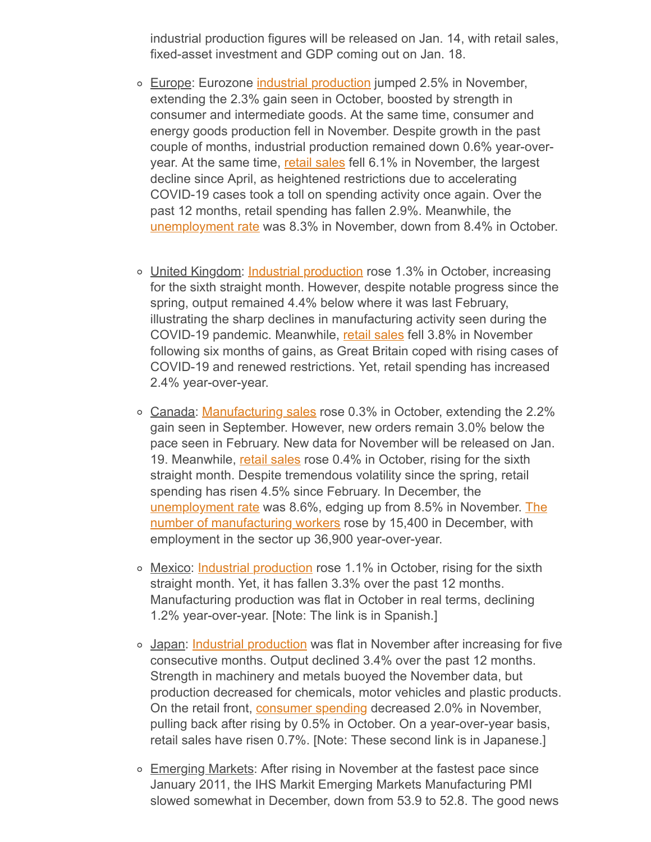industrial production figures will be released on Jan. 14, with retail sales, fixed-asset investment and GDP coming out on Jan. 18.

- o Europe: Eurozone [industrial production](https://ec.europa.eu/eurostat/documents/portlet_file_entry/2995521/4-13012021-AP-EN.pdf/6ee4a64a-ce47-c3d4-bbc9-a95c414e7b7c) jumped 2.5% in November, extending the 2.3% gain seen in October, boosted by strength in consumer and intermediate goods. At the same time, consumer and energy goods production fell in November. Despite growth in the past couple of months, industrial production remained down 0.6% year-overyear. At the same time, [retail sales](https://ec.europa.eu/eurostat/documents/portlet_file_entry/2995521/4-07012021-BP-EN.pdf/92a41614-f6a3-3044-ad3f-e8e3454b9120) fell 6.1% in November, the largest decline since April, as heightened restrictions due to accelerating COVID-19 cases took a toll on spending activity once again. Over the past 12 months, retail spending has fallen 2.9%. Meanwhile, the [unemployment rate](https://ec.europa.eu/eurostat/documents/portlet_file_entry/2995521/3-08012021-AP-EN.pdf/fc360f72-ff0d-ecc0-df77-2bd9c7549825) was 8.3% in November, down from 8.4% in October.
- United Kingdom: [Industrial production](https://www.ons.gov.uk/economy/economicoutputandproductivity/output/bulletins/indexofproduction/october2020) rose 1.3% in October, increasing for the sixth straight month. However, despite notable progress since the spring, output remained 4.4% below where it was last February, illustrating the sharp declines in manufacturing activity seen during the COVID-19 pandemic. Meanwhile, [retail sales](https://www.ons.gov.uk/businessindustryandtrade/retailindustry/bulletins/retailsales/november2020) fell 3.8% in November following six months of gains, as Great Britain coped with rising cases of COVID-19 and renewed restrictions. Yet, retail spending has increased 2.4% year-over-year.
- o Canada: [Manufacturing sales](https://www150.statcan.gc.ca/n1/daily-quotidien/201215/dq201215a-eng.htm?HPA=1&indid=3628-1&indgeo=0) rose 0.3% in October, extending the 2.2% gain seen in September. However, new orders remain 3.0% below the pace seen in February. New data for November will be released on Jan. 19. Meanwhile, [retail sales](https://www150.statcan.gc.ca/n1/daily-quotidien/201218/dq201218a-eng.htm?HPA=1&indid=3660-1&indgeo=0) rose 0.4% in October, rising for the sixth straight month. Despite tremendous volatility since the spring, retail spending has risen 4.5% since February. In December, the [unemployment rate was 8.6%, edging up from 8.5% in November. The](https://www150.statcan.gc.ca/n1/daily-quotidien/210108/t002a-eng.htm) number of manufacturing workers rose by 15,400 in December, with employment in the sector up 36,900 year-over-year.
- o Mexico: [Industrial production](https://www.inegi.org.mx/app/saladeprensa/noticia.html?id=6224) rose 1.1% in October, rising for the sixth straight month. Yet, it has fallen 3.3% over the past 12 months. Manufacturing production was flat in October in real terms, declining 1.2% year-over-year. [Note: The link is in Spanish.]
- o Japan: [Industrial production](https://www.meti.go.jp/english/statistics/tyo/iip/index.html) was flat in November after increasing for five consecutive months. Output declined 3.4% over the past 12 months. Strength in machinery and metals buoyed the November data, but production decreased for chemicals, motor vehicles and plastic products. On the retail front, [consumer spending](https://www.meti.go.jp/statistics/tyo/syoudou/result/pdf/202011S.pdf) decreased 2.0% in November, pulling back after rising by 0.5% in October. On a year-over-year basis, retail sales have risen 0.7%. [Note: These second link is in Japanese.]
- Emerging Markets: After rising in November at the fastest pace since January 2011, the IHS Markit Emerging Markets Manufacturing PMI slowed somewhat in December, down from 53.9 to 52.8. The good news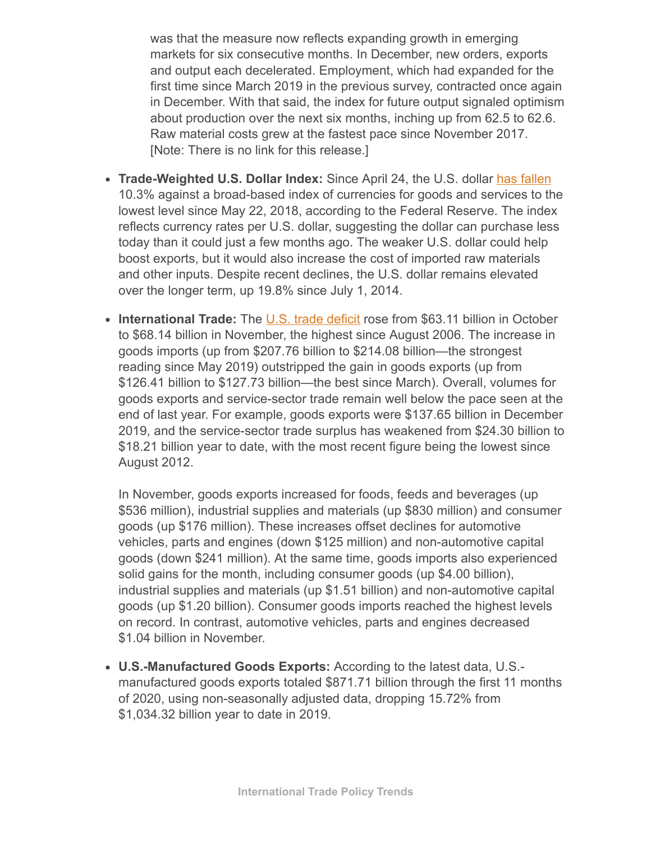was that the measure now reflects expanding growth in emerging markets for six consecutive months. In December, new orders, exports and output each decelerated. Employment, which had expanded for the first time since March 2019 in the previous survey, contracted once again in December. With that said, the index for future output signaled optimism about production over the next six months, inching up from 62.5 to 62.6. Raw material costs grew at the fastest pace since November 2017. [Note: There is no link for this release.]

- **Trade-Weighted U.S. Dollar Index:** Since April 24, the U.S. dollar [has fallen](https://www.federalreserve.gov/releases/h10/current/) 10.3% against a broad-based index of currencies for goods and services to the lowest level since May 22, 2018, according to the Federal Reserve. The index reflects currency rates per U.S. dollar, suggesting the dollar can purchase less today than it could just a few months ago. The weaker U.S. dollar could help boost exports, but it would also increase the cost of imported raw materials and other inputs. Despite recent declines, the U.S. dollar remains elevated over the longer term, up 19.8% since July 1, 2014.
- International Trade: The [U.S. trade deficit](https://www.census.gov/foreign-trade/Press-Release/current_press_release/ft900.pdf) rose from \$63.11 billion in October to \$68.14 billion in November, the highest since August 2006. The increase in goods imports (up from \$207.76 billion to \$214.08 billion—the strongest reading since May 2019) outstripped the gain in goods exports (up from \$126.41 billion to \$127.73 billion—the best since March). Overall, volumes for goods exports and service-sector trade remain well below the pace seen at the end of last year. For example, goods exports were \$137.65 billion in December 2019, and the service-sector trade surplus has weakened from \$24.30 billion to \$18.21 billion year to date, with the most recent figure being the lowest since August 2012.

In November, goods exports increased for foods, feeds and beverages (up \$536 million), industrial supplies and materials (up \$830 million) and consumer goods (up \$176 million). These increases offset declines for automotive vehicles, parts and engines (down \$125 million) and non-automotive capital goods (down \$241 million). At the same time, goods imports also experienced solid gains for the month, including consumer goods (up \$4.00 billion), industrial supplies and materials (up \$1.51 billion) and non-automotive capital goods (up \$1.20 billion). Consumer goods imports reached the highest levels on record. In contrast, automotive vehicles, parts and engines decreased \$1.04 billion in November.

**U.S.-Manufactured Goods Exports:** According to the latest data, U.S. manufactured goods exports totaled \$871.71 billion through the first 11 months of 2020, using non-seasonally adjusted data, dropping 15.72% from \$1,034.32 billion year to date in 2019.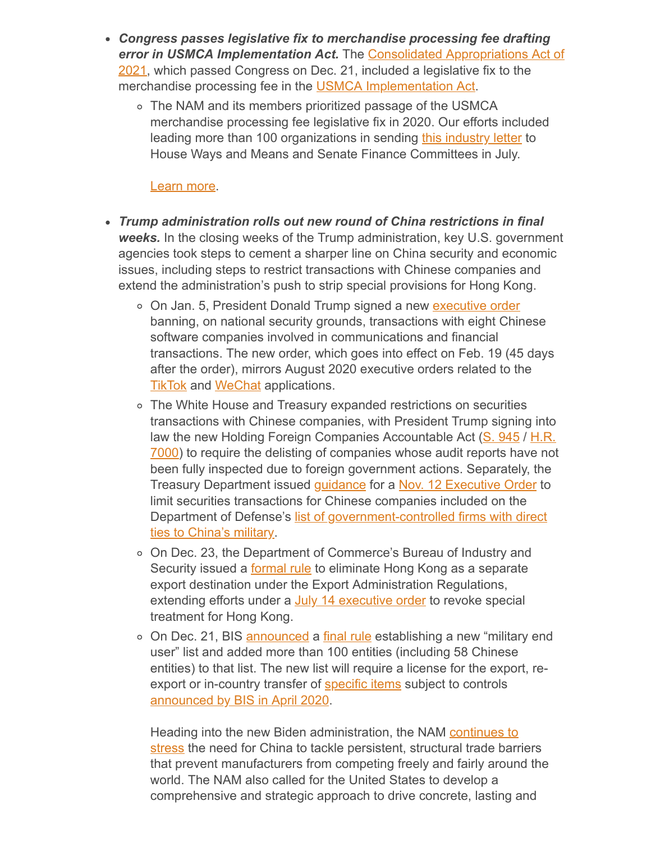- *Congress passes legislative fix to merchandise processing fee drafting error in USMCA Implementation Act.* The Consolidated Appropriations Act of [2021, which passed Congress on Dec. 21, included a legislative fix to the](https://rules.house.gov/sites/democrats.rules.house.gov/files/BILLS-116HR133SA-RCP-116-68.pdf#page=2476) merchandise processing fee in the **USMCA Implementation Act**.
	- The NAM and its members prioritized passage of the USMCA merchandise processing fee legislative fix in 2020. Our efforts included leading more than 100 organizations in sending [this industry letter](http://documents.nam.org/PA/Industry%20Letter%20on%20USMCA%20Merchandise%20Processing%20Fee_July%202020.pdf) to House Ways and Means and Senate Finance Committees in July.

#### [Learn more.](mailto:kmonahan@nam.org;aaafedt@nam.org?subject=USMCA%20Merchandise%20Processing%20Fee)

- *Trump administration rolls out new round of China restrictions in final weeks.* In the closing weeks of the Trump administration, key U.S. government agencies took steps to cement a sharper line on China security and economic issues, including steps to restrict transactions with Chinese companies and extend the administration's push to strip special provisions for Hong Kong.
	- On Jan. 5, President Donald Trump signed a new [executive order](https://www.whitehouse.gov/presidential-actions/executive-order-addressing-threat-posed-applications-software-developed-controlled-chinese-companies/) banning, on national security grounds, transactions with eight Chinese software companies involved in communications and financial transactions. The new order, which goes into effect on Feb. 19 (45 days after the order), mirrors August 2020 executive orders related to the **[TikTok](https://www.whitehouse.gov/presidential-actions/executive-order-addressing-threat-posed-tiktok/) and [WeChat](https://www.whitehouse.gov/presidential-actions/executive-order-addressing-threat-posed-wechat/) applications.**
	- The White House and Treasury expanded restrictions on securities transactions with Chinese companies, with President Trump signing into law the new Holding Foreign Companies Accountable Act [\(S. 945](https://www.congress.gov/bill/116th-congress/senate-bill/945) / H.R. [7000\) to require the delisting of companies whose audit reports have not](https://www.congress.gov/bill/116th-congress/house-bill/7000) been fully inspected due to foreign government actions. Separately, the Treasury Department issued [guidance](https://protect-us.mimecast.com/s/A8sNCpYnK5UnZz1DCPsU5T?domain=urldefense.proofpoint.com) for a [Nov. 12 Executive Order](https://www.whitehouse.gov/presidential-actions/executive-order-addressing-threat-securities-investments-finance-communist-chinese-military-companies/) to limit securities transactions for Chinese companies included on the [Department of Defense's list of government-controlled firms with direct](https://www.defense.gov/Newsroom/Releases/Release/Article/2434513/dod-releases-list-of-additional-companies-in-accordance-with-section-1237-of-fy/) ties to China's military.
	- On Dec. 23, the Department of Commerce's Bureau of Industry and Security issued a **formal rule** to eliminate Hong Kong as a separate export destination under the Export Administration Regulations, extending efforts under a [July 14 executive order](https://www.whitehouse.gov/presidential-actions/presidents-executive-order-hong-kong-normalization/) to revoke special treatment for Hong Kong.
	- On Dec. 21, BIS [announced](https://www.commerce.gov/news/press-releases/2020/12/commerce-department-will-publish-first-military-end-user-list-naming) a [final rule](https://www.federalregister.gov/documents/2020/12/23/2020-28052/addition-of-military-end-user-meu-list-to-the-export-administration-regulations-and-addition-of) establishing a new "military end user" list and added more than 100 entities (including 58 Chinese entities) to that list. The new list will require a license for the export, reexport or in-country transfer of [specific items](https://www.bis.doc.gov/index.php/documents/regulations-docs/2343-part-744-control-policy-end-user-and-end-use-based-2/file) subject to controls [announced by BIS in April 2020.](https://www.federalregister.gov/documents/2020/04/28/2020-07241/expansion-of-export-reexport-and-transfer-in-country-controls-for-military-end-use-or-military-end)

[Heading into the new Biden administration, the NAM continues to](http://documents.nam.org/IEA/NAM_2020_Submission_on_China_WTO_Compliance_FINAL.pdf) stress the need for China to tackle persistent, structural trade barriers that prevent manufacturers from competing freely and fairly around the world. The NAM also called for the United States to develop a comprehensive and strategic approach to drive concrete, lasting and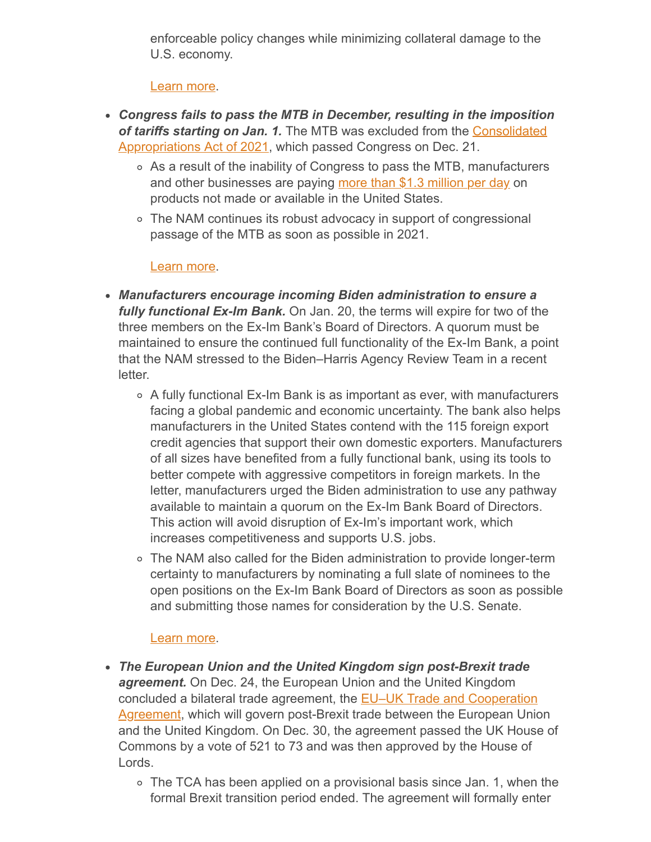enforceable policy changes while minimizing collateral damage to the U.S. economy.

# [Learn more.](mailto:rong@nam.org?subject=NAM/China%20updates)

- *Congress fails to pass the MTB in December, resulting in the imposition of tariffs starting on Jan. 1.* The MTB was excluded from the Consolidated [Appropriations Act of 2021, which passed Congress on Dec. 21.](https://rules.house.gov/sites/democrats.rules.house.gov/files/BILLS-116HR133SA-RCP-116-68.pdf)
	- As a result of the inability of Congress to pass the MTB, manufacturers and other businesses are paying [more than \\$1.3 million per day](http://documents.nam.org/IEA/MTB%20Industry%20Letter%20to%20Congress_Dec%202020.pdf) on products not made or available in the United States.
	- The NAM continues its robust advocacy in support of congressional passage of the MTB as soon as possible in 2021.

#### [Learn more.](mailto:kmonahan@nam.org?subject=Miscellaneous%20Tariff%20Bill)

- *Manufacturers encourage incoming Biden administration to ensure a fully functional Ex-Im Bank.* On Jan. 20, the terms will expire for two of the three members on the Ex-Im Bank's Board of Directors. A quorum must be maintained to ensure the continued full functionality of the Ex-Im Bank, a point that the NAM stressed to the Biden–Harris Agency Review Team in a recent letter.
	- $\circ$  A fully functional Ex-Im Bank is as important as ever, with manufacturers facing a global pandemic and economic uncertainty. The bank also helps manufacturers in the United States contend with the 115 foreign export credit agencies that support their own domestic exporters. Manufacturers of all sizes have benefited from a fully functional bank, using its tools to better compete with aggressive competitors in foreign markets. In the letter, manufacturers urged the Biden administration to use any pathway available to maintain a quorum on the Ex-Im Bank Board of Directors. This action will avoid disruption of Ex-Im's important work, which increases competitiveness and supports U.S. jobs.
	- The NAM also called for the Biden administration to provide longer-term certainty to manufacturers by nominating a full slate of nominees to the open positions on the Ex-Im Bank Board of Directors as soon as possible and submitting those names for consideration by the U.S. Senate.

# [Learn more.](mailto:aaafedt@nam.org?subject=Ex-Im%20Bank)

- *The European Union and the United Kingdom sign post-Brexit trade agreement.* On Dec. 24, the European Union and the United Kingdom concluded a bilateral trade agreement, the **EU–UK Trade and Cooperation** [Agreement, which will govern post-Brexit trade between the European Unio](https://ec.europa.eu/info/relations-united-kingdom/eu-uk-trade-and-cooperation-agreement_en)n and the United Kingdom. On Dec. 30, the agreement passed the UK House of Commons by a vote of 521 to 73 and was then approved by the House of Lords.
	- $\circ$  The TCA has been applied on a provisional basis since Jan. 1, when the formal Brexit transition period ended. The agreement will formally enter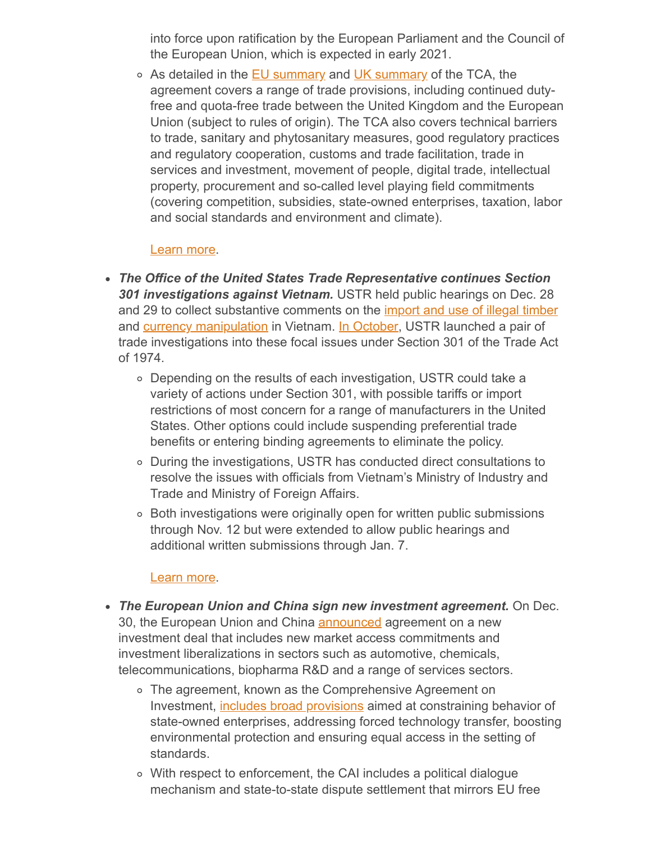into force upon ratification by the European Parliament and the Council of the European Union, which is expected in early 2021.

o As detailed in the **EU summary** and [UK summary](https://assets.publishing.service.gov.uk/government/uploads/system/uploads/attachment_data/file/948093/TCA_SUMMARY_PDF.pdf) of the TCA, the agreement covers a range of trade provisions, including continued dutyfree and quota-free trade between the United Kingdom and the European Union (subject to rules of origin). The TCA also covers technical barriers to trade, sanitary and phytosanitary measures, good regulatory practices and regulatory cooperation, customs and trade facilitation, trade in services and investment, movement of people, digital trade, intellectual property, procurement and so-called level playing field commitments (covering competition, subsidies, state-owned enterprises, taxation, labor and social standards and environment and climate).

#### [Learn more.](mailto:kmonahan@nam.org?subject=Brexit/EU-UK%20Trade%20and%20Cooperation%20Agreement)

- *The Office of the United States Trade Representative continues Section 301 investigations against Vietnam.* USTR held public hearings on Dec. 28 and 29 to collect substantive comments on the *[import and use of illegal timber](https://ustr.gov/sites/default/files/enforcement/301Investigations/Vietnam_Timber_Initiation_Notice_October_2020.pdf)* and **[currency manipulation](https://ustr.gov/sites/default/files/enforcement/301Investigations/Vietnam_Currency_Initiation_Notice_October_2020.pdf)** in Vietnam. [In October,](https://ustr.gov/about-us/policy-offices/press-office/press-releases/2020/october/ustr-initiates-vietnam-section-301-investigation) USTR launched a pair of trade investigations into these focal issues under Section 301 of the Trade Act of 1974.
	- Depending on the results of each investigation, USTR could take a variety of actions under Section 301, with possible tariffs or import restrictions of most concern for a range of manufacturers in the United States. Other options could include suspending preferential trade benefits or entering binding agreements to eliminate the policy.
	- During the investigations, USTR has conducted direct consultations to resolve the issues with officials from Vietnam's Ministry of Industry and Trade and Ministry of Foreign Affairs.
	- Both investigations were originally open for written public submissions through Nov. 12 but were extended to allow public hearings and additional written submissions through Jan. 7.

#### [Learn more.](mailto:kmonahan@nam.org;rong@nam.org?subject=Vietnam%20301)

- *The European Union and China sign new investment agreement.* On Dec. 30, the European Union and China **[announced](https://ec.europa.eu/commission/presscorner/detail/en/ip_20_2541)** agreement on a new investment deal that includes new market access commitments and investment liberalizations in sectors such as automotive, chemicals, telecommunications, biopharma R&D and a range of services sectors.
	- The agreement, known as the Comprehensive Agreement on Investment, [includes broad provisions](https://www.nytimes.com/2020/12/30/business/china-eu-investment-deal.html) aimed at constraining behavior of state-owned enterprises, addressing forced technology transfer, boosting environmental protection and ensuring equal access in the setting of standards.
	- With respect to enforcement, the CAI includes a political dialogue mechanism and state-to-state dispute settlement that mirrors EU free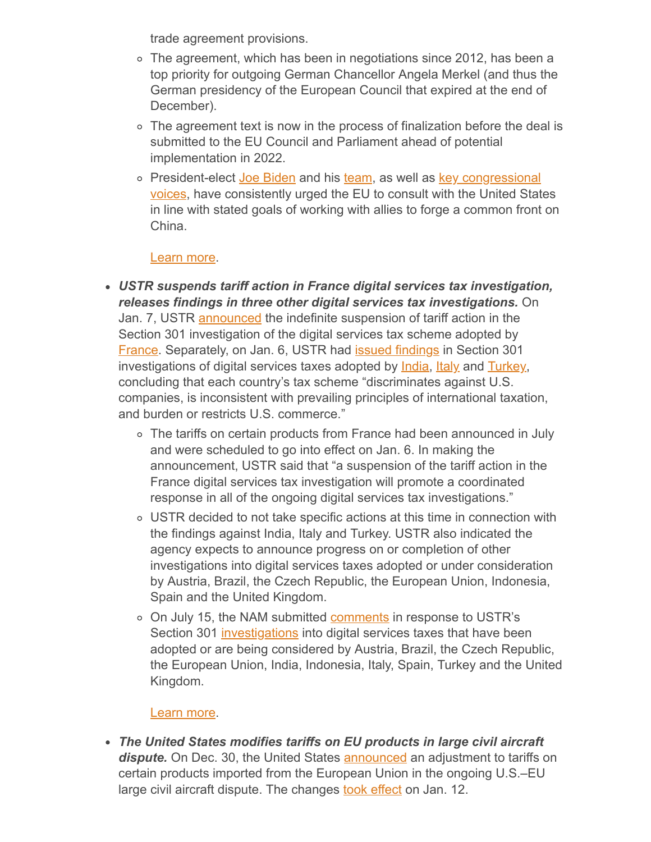trade agreement provisions.

- The agreement, which has been in negotiations since 2012, has been a top priority for outgoing German Chancellor Angela Merkel (and thus the German presidency of the European Council that expired at the end of December).
- $\circ$  The agreement text is now in the process of finalization before the deal is submitted to the EU Council and Parliament ahead of potential implementation in 2022.
- o President-elect [Joe Biden](https://www.scmp.com/news/china/diplomacy/article/3115615/us-president-elect-joe-biden-calls-stronger-trade-coalitions) and his [team](https://twitter.com/jakejsullivan/status/1341180109118726144), as well as key congressional [voices, have consistently urged the EU to consult with the United Stat](https://www.toomey.senate.gov/newsroom/press-releases/toomey-and-warner-issue-statement-on-the-eu-china-comprehensive-agreement-on-investment)es in line with stated goals of working with allies to forge a common front on China.

# [Learn more.](mailto:rong@nam.org?subject=NAM/China%20updates)

- *USTR suspends tariff action in France digital services tax investigation, releases findings in three other digital services tax investigations.* On Jan. 7, USTR [announced](https://ustr.gov/about-us/policy-offices/press-office/press-releases/2021/january/suspension-tariff-action-france-digital-services-tax-investigation) the indefinite suspension of tariff action in the Section 301 investigation of the digital services tax scheme adopted by [France.](https://www.federalregister.gov/documents/2021/01/12/2021-00425/notice-of-modification-of-section-301-action-investigation-of-frances-digital-services-tax) Separately, on Jan. 6, USTR had *issued findings* in Section 301 investigations of digital services taxes adopted by *India*, *Italy* and *Turkey*, concluding that each country's tax scheme "discriminates against U.S. companies, is inconsistent with prevailing principles of international taxation, and burden or restricts U.S. commerce."
	- The tariffs on certain products from France had been announced in July and were scheduled to go into effect on Jan. 6. In making the announcement, USTR said that "a suspension of the tariff action in the France digital services tax investigation will promote a coordinated response in all of the ongoing digital services tax investigations."
	- USTR decided to not take specific actions at this time in connection with the findings against India, Italy and Turkey. USTR also indicated the agency expects to announce progress on or completion of other investigations into digital services taxes adopted or under consideration by Austria, Brazil, the Czech Republic, the European Union, Indonesia, Spain and the United Kingdom.
	- o On July 15, the NAM submitted **comments** in response to USTR's Section 301 [investigations](https://www.regulations.gov/document?D=USTR-2020-0022-0001) into digital services taxes that have been adopted or are being considered by Austria, Brazil, the Czech Republic, the European Union, India, Indonesia, Italy, Spain, Turkey and the United Kingdom.

# [Learn more.](mailto:kmonahan@nam.org?subject=Section%20301%20Digital%20Services%20Tax%20Investigations)

*The United States modifies tariffs on EU products in large civil aircraft* dispute. On Dec. 30, the United States **announced** an adjustment to tariffs on certain products imported from the European Union in the ongoing U.S.–EU large civil aircraft dispute. The changes **[took effect](https://www.federalregister.gov/documents/2021/01/06/2020-29225/notice-of-revision-of-section-301-action-enforcement-of-us-wto-rights-in-large-civil-aircraft)** on Jan. 12.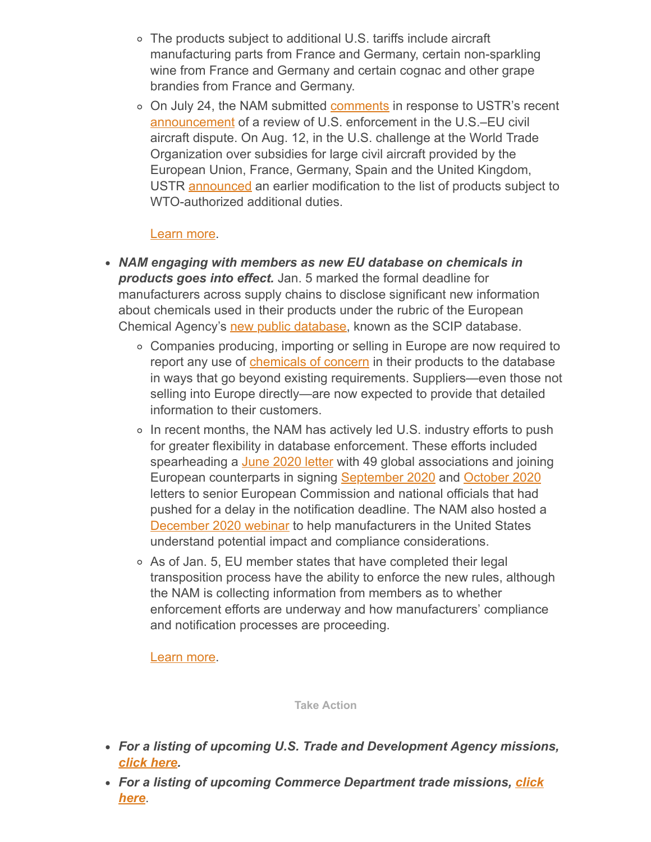- The products subject to additional U.S. tariffs include aircraft manufacturing parts from France and Germany, certain non-sparkling wine from France and Germany and certain cognac and other grape brandies from France and Germany.
- o On July 24, the NAM submitted **comments** in response to USTR's recent [announcement](https://ustr.gov/sites/default/files/enforcement/301Investigations/Review_of_Action_Enforcement_of_U.S._WTO_Rights_in_Large_Civil_Aircraft_Dispute_June_23_2020.pdf) of a review of U.S. enforcement in the U.S.–EU civil aircraft dispute. On Aug. 12, in the U.S. challenge at the World Trade Organization over subsidies for large civil aircraft provided by the European Union, France, Germany, Spain and the United Kingdom, USTR **announced** an earlier modification to the list of products subject to WTO-authorized additional duties.

#### [Learn more.](mailto:kmonahan@nam.org?subject=U.S.-EU%20Civil%20Aircraft%20Dispute)

- *NAM engaging with members as new EU database on chemicals in products goes into effect.* Jan. 5 marked the formal deadline for manufacturers across supply chains to disclose significant new information about chemicals used in their products under the rubric of the European Chemical Agency's [new public database](https://echa.europa.eu/-/tracking-chemicals-of-concern-in-products-scip-database-ready-for-use), known as the SCIP database.
	- Companies producing, importing or selling in Europe are now required to report any use of [chemicals of concern](https://echa.europa.eu/candidate-list-table) in their products to the database in ways that go beyond existing requirements. Suppliers—even those not selling into Europe directly—are now expected to provide that detailed information to their customers.
	- $\circ$  In recent months, the NAM has actively led U.S. industry efforts to push for greater flexibility in database enforcement. These efforts included spearheading a [June 2020 letter](https://protect-us.mimecast.com/s/xJKOCmZk64UjEBWKiDDeNB?domain=nam12.safelinks.protection.outlook.com) with 49 global associations and joining European counterparts in signing [September 2020](https://protect-us.mimecast.com/s/hjWRCjRBM4inpKRMh5DIX2?domain=nam12.safelinks.protection.outlook.com) and [October 2020](http://documents.nam.org/IEA/20201026_Letter_to_Minister_Schulze_on_Industry_Call_for_Urgent_Action_to_Postpone_the_Legal_Obligations_Related_to_the_SCIP_Database.pdf) letters to senior European Commission and national officials that had pushed for a delay in the notification deadline. The NAM also hosted a [December 2020 webinar](mailto:rong@nam.org?subject=NAM%20SCIP%20Webinar) to help manufacturers in the United States understand potential impact and compliance considerations.
	- As of Jan. 5, EU member states that have completed their legal transposition process have the ability to enforce the new rules, although the NAM is collecting information from members as to whether enforcement efforts are underway and how manufacturers' compliance and notification processes are proceeding.

[Learn more.](mailto:rong@nam.org?subject=EU/SCIP%20Database)

**Take Action**

- *For a listing of upcoming U.S. Trade and Development Agency missions, [click here.](https://www.ustda.gov/events/events)*
- *[For a listing of upcoming Commerce Department trade missions,](https://www.export.gov/Trade-Missions) click here*.